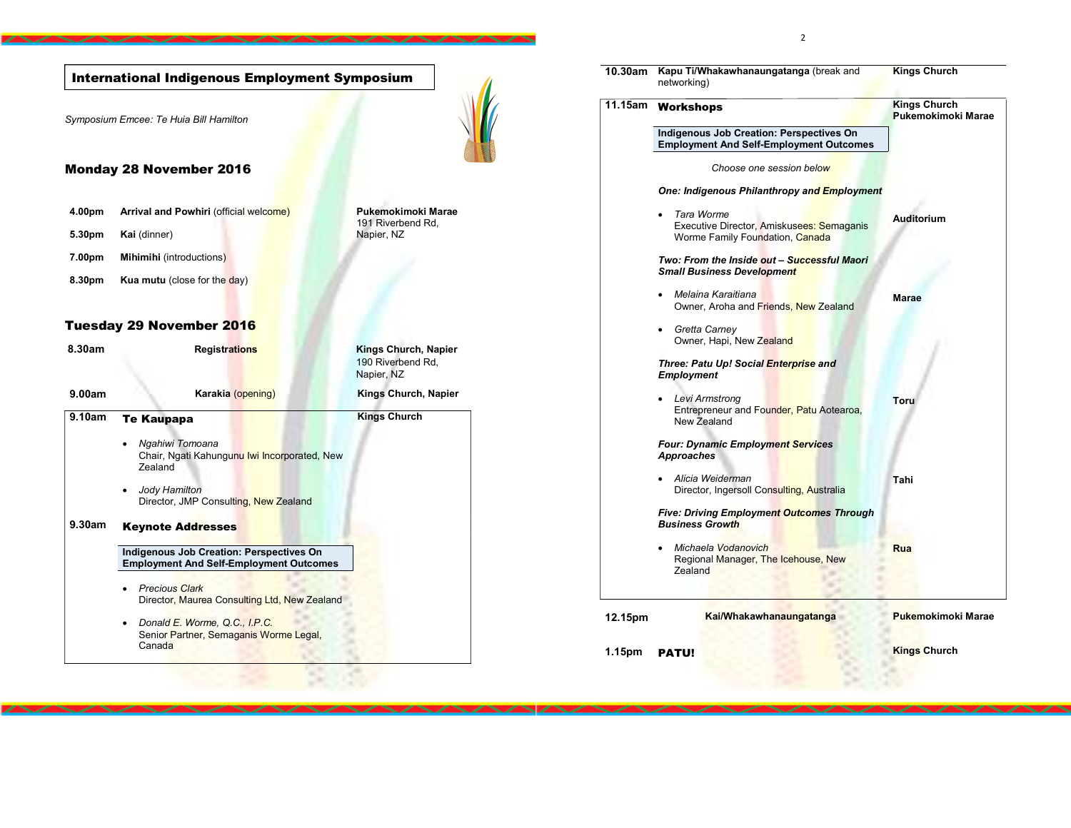Symposium Emcee: Te Huia Bill Hamilton Monday 28 November 2016 4.00pm Arrival and Powhiri (official welcome) Pukemokimoki Marae 191 Riverbend Rd, 5.30**pm Kai** (dinner) Napier, NZ 7.00pm Mihimihi (introductions) 8.30pm Kua mutu (close for the day) Tuesday 29 November 2016 8.30am Registrations Registrations Kings Church, Napier 190 Riverbend Rd, Napier, NZ 9.00am Karakia (opening) Kings Church, Napier 9.10am Te Kaupapa Ngahiwi Tomoana Chair, Ngati Kahungunu Iwi Incorporated, New **Zealand**  Jody Hamilton Director, JMP Consulting, New Zealand Kings Church 9.30am Keynote Addresses Indigenous Job Creation: Perspectives On Employment And Self-Employment Outcomes • Precious Clark Director, Maurea Consulting Ltd, New Zealand • Donald E. Worme, Q.C., I.P.C. Senior Partner, Semaganis Worme Legal, Canada International Indigenous Employment Symposium 10.30am Kapu Ti/Whakawhanaungatanga (break and networking) Kings Church 11.15am Workshops Indigenous Job Creation: Perspectives On Employment And Self-Employment Outcomes Choose one session below One: Indigenous Philanthropy and Employment Tara Worme Executive Director, Amiskusees: Semaganis Worme Family Foundation, Canada Two: From the Inside out - Successful Maori Small Business Development • Melaina Karaitiana Owner, Aroha and Friends, New Zealand Gretta Carney Owner, Hapi, New Zealand Three: Patu Up! Social Enterprise and Employment Levi Armstrong Entrepreneur and Founder, Patu Aotearoa, New Zealand Four: Dynamic Employment Services Approaches Alicia Weiderman Director, Ingersoll Consulting, Australia Five: Driving Employment Outcomes Through Business Growth • Michaela Vodanovich Regional Manager, The Icehouse, New **Zealand** Kings Church Pukemokimoki Marae Auditorium Marae Toru Tahi Rua 12.15pm Kai/Whakawhanaungatanga Pukemokimoki Marae 1.15pm PATU! **Kings Church Kings Church** 

 $\sim$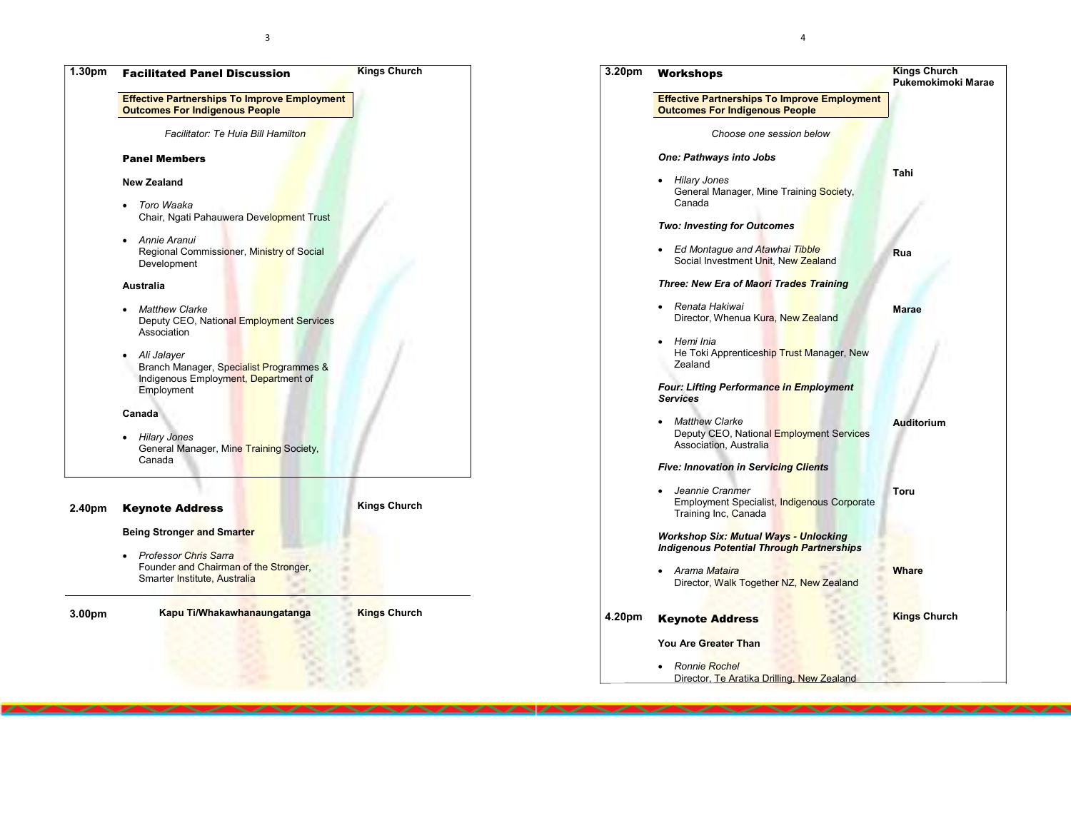



4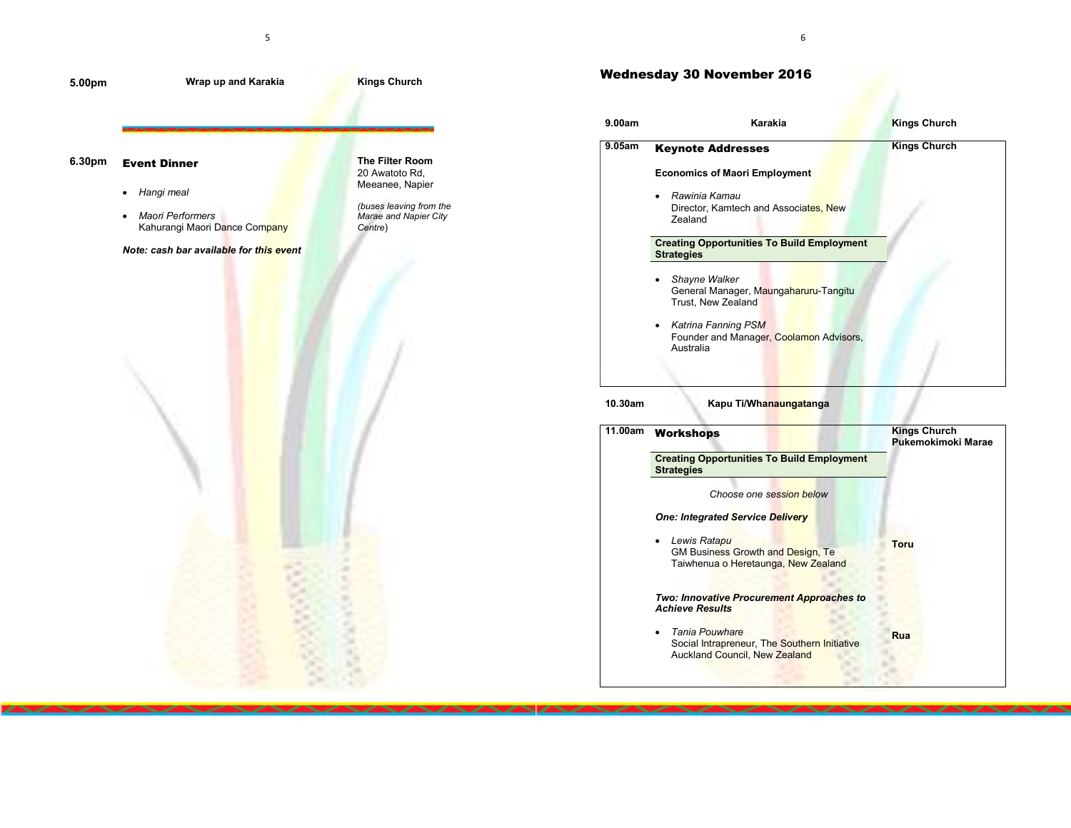

## Wednesday 30 November 2016

| 9.00am    | Karakia                                                                                 | <b>Kings Church</b>                       |
|-----------|-----------------------------------------------------------------------------------------|-------------------------------------------|
| $9.05$ am | <b>Keynote Addresses</b>                                                                | <b>Kings Church</b>                       |
|           | <b>Economics of Maori Employment</b>                                                    |                                           |
|           | Rawinia Kamau<br>Director, Kamtech and Associates, New<br>Zealand                       |                                           |
|           | <b>Creating Opportunities To Build Employment</b><br><b>Strategies</b>                  |                                           |
|           | Shayne Walker<br>General Manager, Maungaharuru-Tangitu<br>Trust, New Zealand            |                                           |
|           | <b>Katrina Fanning PSM</b><br>٠<br>Founder and Manager, Coolamon Advisors,<br>Australia |                                           |
| 10.30am   | Kapu Ti/Whanaungatanga                                                                  |                                           |
| 11.00am   | <b>Workshops</b>                                                                        | <b>Kings Church</b><br>Pukemokimoki Marae |
|           | <b>Creating Opportunities To Build Employment</b><br><b>Strategies</b>                  |                                           |
|           | Choose one session below                                                                |                                           |
|           | <b>One: Integrated Service Delivery</b>                                                 |                                           |
|           | Louis Datonu                                                                            |                                           |

 Lewis Ratapu GM Business Growth and Design, Te Taiwhenua o Heretaunga, New Zealand **Two: Innovative Procurement Approaches to** Achieve Results • Tania Pouwhare Social Intrapreneur, The Southern Initiative Auckland Council, New Zealand Toru Rua

6